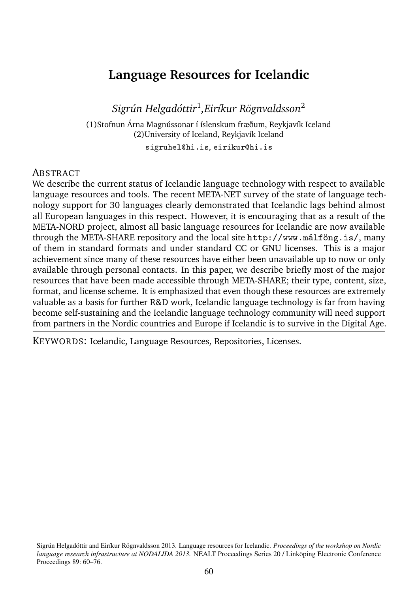# **Language Resources for Icelandic**

*Sigrún Helgadóttir*<sup>1</sup> *,Eiríkur Rögnvaldsson*<sup>2</sup>

(1)Stofnun Árna Magnússonar í íslenskum fræðum, Reykjavík Iceland (2)University of Iceland, Reykjavík Iceland

sigruhel@hi.is, eirikur@hi.is

#### **ABSTRACT**

We describe the current status of Icelandic language technology with respect to available language resources and tools. The recent META-NET survey of the state of language technology support for 30 languages clearly demonstrated that Icelandic lags behind almost all European languages in this respect. However, it is encouraging that as a result of the META-NORD project, almost all basic language resources for Icelandic are now available through the META-SHARE repository and the local site http://www.málföng.is/, many of them in standard formats and under standard CC or GNU licenses. This is a major achievement since many of these resources have either been unavailable up to now or only available through personal contacts. In this paper, we describe briefly most of the major resources that have been made accessible through META-SHARE; their type, content, size, format, and license scheme. It is emphasized that even though these resources are extremely valuable as a basis for further R&D work, Icelandic language technology is far from having become self-sustaining and the Icelandic language technology community will need support from partners in the Nordic countries and Europe if Icelandic is to survive in the Digital Age.

KEYWORDS: Icelandic, Language Resources, Repositories, Licenses.

Sigrún Helgadóttir and Eiríkur Rögnvaldsson 2013. Language resources for Icelandic. *Proceedings of the workshop on Nordic language research infrastructure at NODALIDA 2013.* NEALT Proceedings Series 20 / Linköping Electronic Conference Proceedings 89: 60-76.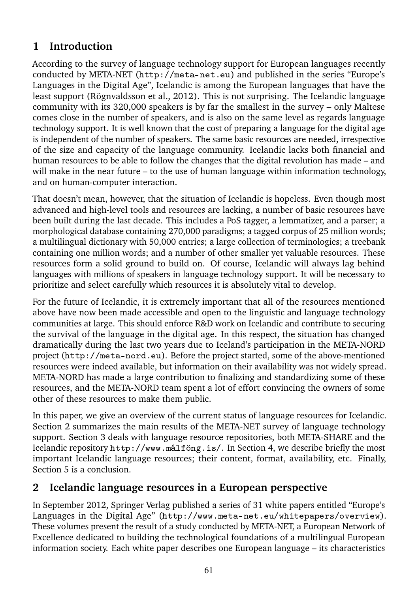# **1 Introduction**

According to the survey of language technology support for European languages recently conducted by META-NET (http://meta-net.eu) and published in the series "Europe's Languages in the Digital Age", Icelandic is among the European languages that have the least support (Rögnvaldsson et al., 2012). This is not surprising. The Icelandic language community with its 320,000 speakers is by far the smallest in the survey – only Maltese comes close in the number of speakers, and is also on the same level as regards language technology support. It is well known that the cost of preparing a language for the digital age is independent of the number of speakers. The same basic resources are needed, irrespective of the size and capacity of the language community. Icelandic lacks both financial and human resources to be able to follow the changes that the digital revolution has made – and will make in the near future – to the use of human language within information technology, and on human-computer interaction.

That doesn't mean, however, that the situation of Icelandic is hopeless. Even though most advanced and high-level tools and resources are lacking, a number of basic resources have been built during the last decade. This includes a PoS tagger, a lemmatizer, and a parser; a morphological database containing 270,000 paradigms; a tagged corpus of 25 million words; a multilingual dictionary with 50,000 entries; a large collection of terminologies; a treebank containing one million words; and a number of other smaller yet valuable resources. These resources form a solid ground to build on. Of course, Icelandic will always lag behind languages with millions of speakers in language technology support. It will be necessary to prioritize and select carefully which resources it is absolutely vital to develop.

For the future of Icelandic, it is extremely important that all of the resources mentioned above have now been made accessible and open to the linguistic and language technology communities at large. This should enforce R&D work on Icelandic and contribute to securing the survival of the language in the digital age. In this respect, the situation has changed dramatically during the last two years due to Iceland's participation in the META-NORD project (http://meta-nord.eu). Before the project started, some of the above-mentioned resources were indeed available, but information on their availability was not widely spread. META-NORD has made a large contribution to finalizing and standardizing some of these resources, and the META-NORD team spent a lot of effort convincing the owners of some other of these resources to make them public.

In this paper, we give an overview of the current status of language resources for Icelandic. Section 2 summarizes the main results of the META-NET survey of language technology support. Section 3 deals with language resource repositories, both META-SHARE and the Icelandic repository http://www.málföng.is/. In Section 4, we describe briefly the most important Icelandic language resources; their content, format, availability, etc. Finally, Section 5 is a conclusion.

#### **2 Icelandic language resources in a European perspective**

In September 2012, Springer Verlag published a series of 31 white papers entitled "Europe's Languages in the Digital Age" (http://www.meta-net.eu/whitepapers/overview). These volumes present the result of a study conducted by META-NET, a European Network of Excellence dedicated to building the technological foundations of a multilingual European information society. Each white paper describes one European language – its characteristics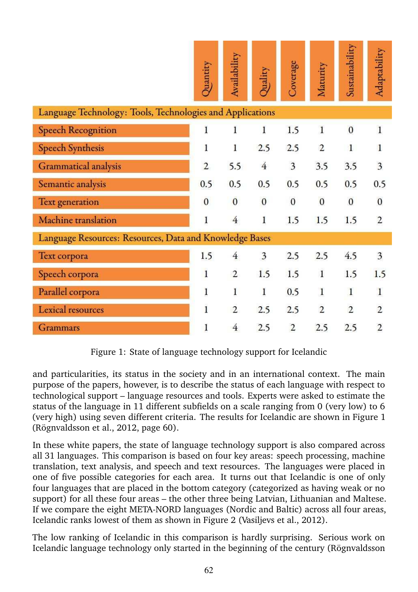|                                                           | Quantity       | Availability   | Quality                 | Coverage                | Maturity       | Sustainability | Adaptability            |
|-----------------------------------------------------------|----------------|----------------|-------------------------|-------------------------|----------------|----------------|-------------------------|
| Language Technology: Tools, Technologies and Applications |                |                |                         |                         |                |                |                         |
| <b>Speech Recognition</b>                                 | 1              | 1              | 1                       | 1.5                     | $\mathbf{1}$   | $\mathbf{0}$   | $\mathbf{1}$            |
| <b>Speech Synthesis</b>                                   | 1              | 1              | 2.5                     | 2.5                     | $\overline{2}$ | $\mathbf{1}$   | 1                       |
| Grammatical analysis                                      | $\overline{2}$ | 5.5            | $\overline{4}$          | $\overline{\mathbf{3}}$ | 3.5            | 3.5            | $\overline{\mathbf{3}}$ |
| Semantic analysis                                         | 0.5            | 0.5            | 0.5                     | 0.5                     | 0.5            | 0.5            | 0.5                     |
| Text generation                                           | $\mathbf{0}$   | $\bf{0}$       | $\mathbf{0}$            | $\bf{0}$                | $\mathbf{0}$   | $\mathbf{0}$   | $\mathbf{0}$            |
| Machine translation                                       | $\bf{l}$       | $\overline{4}$ | 1                       | 1.5                     | 1.5            | 1.5            | $\overline{2}$          |
| Language Resources: Resources, Data and Knowledge Bases   |                |                |                         |                         |                |                |                         |
| Text corpora                                              | 1.5            | $\overline{4}$ | $\overline{\mathbf{3}}$ | 2.5                     | 2.5            | 4.5            | $\overline{\mathbf{3}}$ |
| Speech corpora                                            | $\mathbf{1}$   | $\sqrt{2}$     | 1.5                     | 1.5                     | $\mathbf 1$    | 1.5            | 1.5                     |
| Parallel corpora                                          | $\mathbf{1}$   | 1              | $\mathbf{I}$            | 0.5                     | $\mathbf{1}$   | $\mathbf{1}$   | $\mathbf{I}$            |
| Lexical resources                                         | 1              | $\overline{2}$ | 2.5                     | 2.5                     | $\overline{2}$ | $\overline{2}$ | $\overline{2}$          |
| <b>Grammars</b>                                           | 1              | $\overline{4}$ | 2.5                     | $\overline{c}$          | 2.5            | 2.5            | $\overline{2}$          |

Figure 1: State of language technology support for Icelandic

and particularities, its status in the society and in an international context. The main purpose of the papers, however, is to describe the status of each language with respect to technological support – language resources and tools. Experts were asked to estimate the status of the language in 11 different subfields on a scale ranging from 0 (very low) to 6 (very high) using seven different criteria. The results for Icelandic are shown in Figure 1 (Rögnvaldsson et al., 2012, page 60).

In these white papers, the state of language technology support is also compared across all 31 languages. This comparison is based on four key areas: speech processing, machine translation, text analysis, and speech and text resources. The languages were placed in one of five possible categories for each area. It turns out that Icelandic is one of only four languages that are placed in the bottom category (categorized as having weak or no support) for all these four areas – the other three being Latvian, Lithuanian and Maltese. If we compare the eight META-NORD languages (Nordic and Baltic) across all four areas, Icelandic ranks lowest of them as shown in Figure 2 (Vasiljevs et al., 2012).

The low ranking of Icelandic in this comparison is hardly surprising. Serious work on Icelandic language technology only started in the beginning of the century (Rögnvaldsson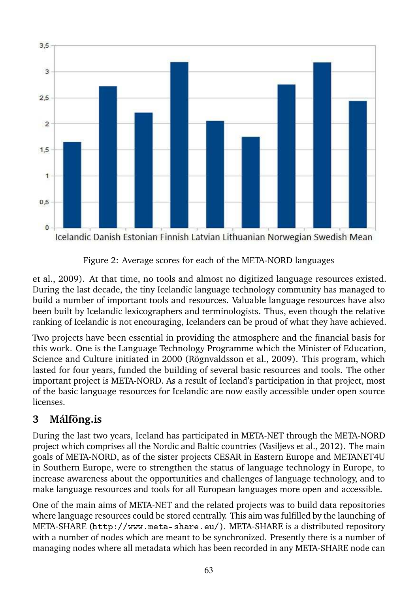

Figure 2: Average scores for each of the META-NORD languages

et al., 2009). At that time, no tools and almost no digitized language resources existed. During the last decade, the tiny Icelandic language technology community has managed to build a number of important tools and resources. Valuable language resources have also been built by Icelandic lexicographers and terminologists. Thus, even though the relative ranking of Icelandic is not encouraging, Icelanders can be proud of what they have achieved.

Two projects have been essential in providing the atmosphere and the financial basis for this work. One is the Language Technology Programme which the Minister of Education, Science and Culture initiated in 2000 (Rögnvaldsson et al., 2009). This program, which lasted for four years, funded the building of several basic resources and tools. The other important project is META-NORD. As a result of Iceland's participation in that project, most of the basic language resources for Icelandic are now easily accessible under open source licenses.

# **3 Málföng.is**

During the last two years, Iceland has participated in META-NET through the META-NORD project which comprises all the Nordic and Baltic countries (Vasiljevs et al., 2012). The main goals of META-NORD, as of the sister projects CESAR in Eastern Europe and METANET4U in Southern Europe, were to strengthen the status of language technology in Europe, to increase awareness about the opportunities and challenges of language technology, and to make language resources and tools for all European languages more open and accessible.

One of the main aims of META-NET and the related projects was to build data repositories where language resources could be stored centrally. This aim was fulfilled by the launching of META-SHARE (http://www.meta-share.eu/). META-SHARE is a distributed repository with a number of nodes which are meant to be synchronized. Presently there is a number of managing nodes where all metadata which has been recorded in any META-SHARE node can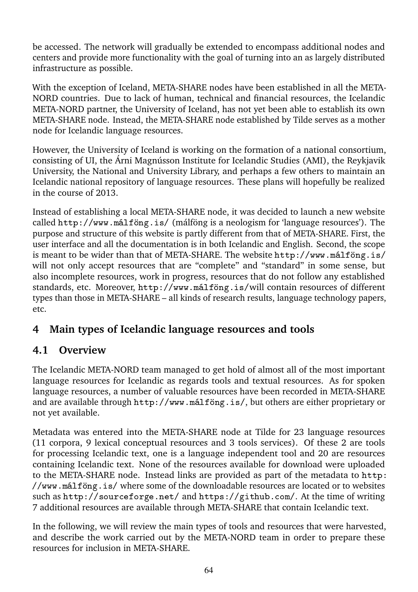be accessed. The network will gradually be extended to encompass additional nodes and centers and provide more functionality with the goal of turning into an as largely distributed infrastructure as possible.

With the exception of Iceland, META-SHARE nodes have been established in all the META-NORD countries. Due to lack of human, technical and financial resources, the Icelandic META-NORD partner, the University of Iceland, has not yet been able to establish its own META-SHARE node. Instead, the META-SHARE node established by Tilde serves as a mother node for Icelandic language resources.

However, the University of Iceland is working on the formation of a national consortium, consisting of UI, the Árni Magnússon Institute for Icelandic Studies (AMI), the Reykjavik University, the National and University Library, and perhaps a few others to maintain an Icelandic national repository of language resources. These plans will hopefully be realized in the course of 2013.

Instead of establishing a local META-SHARE node, it was decided to launch a new website called  $http://www.málföng.is/ (málföng is a neologism for 'language resources'). The$ purpose and structure of this website is partly different from that of META-SHARE. First, the user interface and all the documentation is in both Icelandic and English. Second, the scope is meant to be wider than that of META-SHARE. The website http://www.málföng.is/ will not only accept resources that are "complete" and "standard" in some sense, but also incomplete resources, work in progress, resources that do not follow any established standards, etc. Moreover, http://www.málföng.is/will contain resources of different types than those in META-SHARE – all kinds of research results, language technology papers, etc.

# **4 Main types of Icelandic language resources and tools**

#### **4.1 Overview**

The Icelandic META-NORD team managed to get hold of almost all of the most important language resources for Icelandic as regards tools and textual resources. As for spoken language resources, a number of valuable resources have been recorded in META-SHARE and are available through http://www.málföng.is/, but others are either proprietary or not yet available.

Metadata was entered into the META-SHARE node at Tilde for 23 language resources (11 corpora, 9 lexical conceptual resources and 3 tools services). Of these 2 are tools for processing Icelandic text, one is a language independent tool and 20 are resources containing Icelandic text. None of the resources available for download were uploaded to the META-SHARE node. Instead links are provided as part of the metadata to http: ✴✴✇✇✇✳♠á❧❢ö♥❣✳✐s✴ where some of the downloadable resources are located or to websites such as http://sourceforge.net/ and https://github.com/. At the time of writing 7 additional resources are available through META-SHARE that contain Icelandic text.

In the following, we will review the main types of tools and resources that were harvested, and describe the work carried out by the META-NORD team in order to prepare these resources for inclusion in META-SHARE.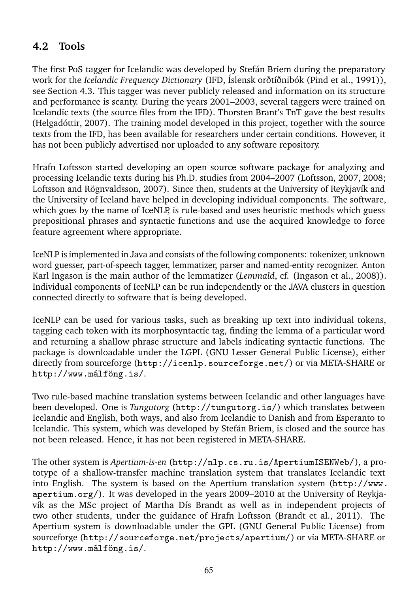### **4.2 Tools**

The first PoS tagger for Icelandic was developed by Stefán Briem during the preparatory work for the *Icelandic Frequency Dictionary* (IFD, Íslensk orðtíðnibók (Pind et al., 1991)), see Section 4.3. This tagger was never publicly released and information on its structure and performance is scanty. During the years 2001–2003, several taggers were trained on Icelandic texts (the source files from the IFD). Thorsten Brant's TnT gave the best results (Helgadóttir, 2007). The training model developed in this project, together with the source texts from the IFD, has been available for researchers under certain conditions. However, it has not been publicly advertised nor uploaded to any software repository.

Hrafn Loftsson started developing an open source software package for analyzing and processing Icelandic texts during his Ph.D. studies from 2004–2007 (Loftsson, 2007, 2008; Loftsson and Rögnvaldsson, 2007). Since then, students at the University of Reykjavík and the University of Iceland have helped in developing individual components. The software, which goes by the name of IceNLP, is rule-based and uses heuristic methods which guess prepositional phrases and syntactic functions and use the acquired knowledge to force feature agreement where appropriate.

IceNLP is implemented in Java and consists of the following components: tokenizer, unknown word guesser, part-of-speech tagger, lemmatizer, parser and named-entity recognizer. Anton Karl Ingason is the main author of the lemmatizer (*Lemmald*, cf. (Ingason et al., 2008)). Individual components of IceNLP can be run independently or the JAVA clusters in question connected directly to software that is being developed.

IceNLP can be used for various tasks, such as breaking up text into individual tokens, tagging each token with its morphosyntactic tag, finding the lemma of a particular word and returning a shallow phrase structure and labels indicating syntactic functions. The package is downloadable under the LGPL (GNU Lesser General Public License), either directly from sourceforge (http://icenlp.sourceforge.net/) or via META-SHARE or http://www.málföng.is/.

Two rule-based machine translation systems between Icelandic and other languages have been developed. One is *Tungutorg* (http://tungutorg.is/) which translates between Icelandic and English, both ways, and also from Icelandic to Danish and from Esperanto to Icelandic. This system, which was developed by Stefán Briem, is closed and the source has not been released. Hence, it has not been registered in META-SHARE.

The other system is *Apertium-is-en* (http://nlp.cs.ru.is/ApertiumISENWeb/), a prototype of a shallow-transfer machine translation system that translates Icelandic text into English. The system is based on the Apertium translation system  $(\text{http://www.$ apertium.org/). It was developed in the years 2009–2010 at the University of Reykjavík as the MSc project of Martha Dís Brandt as well as in independent projects of two other students, under the guidance of Hrafn Loftsson (Brandt et al., 2011). The Apertium system is downloadable under the GPL (GNU General Public License) from sourceforge (http://sourceforge.net/projects/apertium/) or via META-SHARE or http://www.málföng.is/.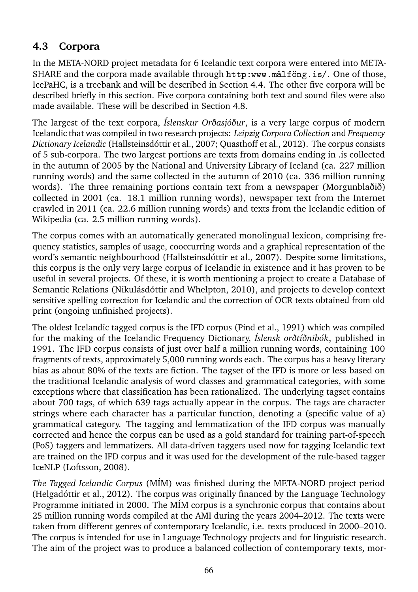### **4.3 Corpora**

In the META-NORD project metadata for 6 Icelandic text corpora were entered into META-SHARE and the corpora made available through http:www.málföng.is/. One of those, IcePaHC, is a treebank and will be described in Section 4.4. The other five corpora will be described briefly in this section. Five corpora containing both text and sound files were also made available. These will be described in Section 4.8.

The largest of the text corpora, *Íslenskur Orðasjóður*, is a very large corpus of modern Icelandic that was compiled in two research projects: *Leipzig Corpora Collection* and *Frequency Dictionary Icelandic* (Hallsteinsdóttir et al., 2007; Quasthoff et al., 2012). The corpus consists of 5 sub-corpora. The two largest portions are texts from domains ending in .is collected in the autumn of 2005 by the National and University Library of Iceland (ca. 227 million running words) and the same collected in the autumn of 2010 (ca. 336 million running words). The three remaining portions contain text from a newspaper (Morgunblaðið) collected in 2001 (ca. 18.1 million running words), newspaper text from the Internet crawled in 2011 (ca. 22.6 million running words) and texts from the Icelandic edition of Wikipedia (ca. 2.5 million running words).

The corpus comes with an automatically generated monolingual lexicon, comprising frequency statistics, samples of usage, cooccurring words and a graphical representation of the word's semantic neighbourhood (Hallsteinsdóttir et al., 2007). Despite some limitations, this corpus is the only very large corpus of Icelandic in existence and it has proven to be useful in several projects. Of these, it is worth mentioning a project to create a Database of Semantic Relations (Nikulásdóttir and Whelpton, 2010), and projects to develop context sensitive spelling correction for Icelandic and the correction of OCR texts obtained from old print (ongoing unfinished projects).

The oldest Icelandic tagged corpus is the IFD corpus (Pind et al., 1991) which was compiled for the making of the Icelandic Frequency Dictionary, *Íslensk orðtíðnibók*, published in 1991. The IFD corpus consists of just over half a million running words, containing 100 fragments of texts, approximately 5,000 running words each. The corpus has a heavy literary bias as about 80% of the texts are fiction. The tagset of the IFD is more or less based on the traditional Icelandic analysis of word classes and grammatical categories, with some exceptions where that classification has been rationalized. The underlying tagset contains about 700 tags, of which 639 tags actually appear in the corpus. The tags are character strings where each character has a particular function, denoting a (specific value of a) grammatical category. The tagging and lemmatization of the IFD corpus was manually corrected and hence the corpus can be used as a gold standard for training part-of-speech (PoS) taggers and lemmatizers. All data-driven taggers used now for tagging Icelandic text are trained on the IFD corpus and it was used for the development of the rule-based tagger IceNLP (Loftsson, 2008).

*The Tagged Icelandic Corpus* (MÍM) was finished during the META-NORD project period (Helgadóttir et al., 2012). The corpus was originally financed by the Language Technology Programme initiated in 2000. The MÍM corpus is a synchronic corpus that contains about 25 million running words compiled at the AMI during the years 2004–2012. The texts were taken from different genres of contemporary Icelandic, i.e. texts produced in 2000–2010. The corpus is intended for use in Language Technology projects and for linguistic research. The aim of the project was to produce a balanced collection of contemporary texts, mor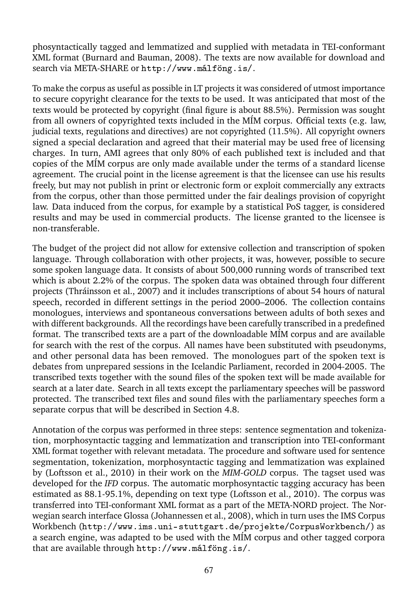phosyntactically tagged and lemmatized and supplied with metadata in TEI-conformant XML format (Burnard and Bauman, 2008). The texts are now available for download and search via META-SHARE or http://www.málföng.is/.

To make the corpus as useful as possible in LT projects it was considered of utmost importance to secure copyright clearance for the texts to be used. It was anticipated that most of the texts would be protected by copyright (final figure is about 88.5%). Permission was sought from all owners of copyrighted texts included in the MÍM corpus. Official texts (e.g. law, judicial texts, regulations and directives) are not copyrighted (11.5%). All copyright owners signed a special declaration and agreed that their material may be used free of licensing charges. In turn, AMI agrees that only 80% of each published text is included and that copies of the MÍM corpus are only made available under the terms of a standard license agreement. The crucial point in the license agreement is that the licensee can use his results freely, but may not publish in print or electronic form or exploit commercially any extracts from the corpus, other than those permitted under the fair dealings provision of copyright law. Data induced from the corpus, for example by a statistical PoS tagger, is considered results and may be used in commercial products. The license granted to the licensee is non-transferable.

The budget of the project did not allow for extensive collection and transcription of spoken language. Through collaboration with other projects, it was, however, possible to secure some spoken language data. It consists of about 500,000 running words of transcribed text which is about 2.2% of the corpus. The spoken data was obtained through four different projects (Thráinsson et al., 2007) and it includes transcriptions of about 54 hours of natural speech, recorded in different settings in the period 2000–2006. The collection contains monologues, interviews and spontaneous conversations between adults of both sexes and with different backgrounds. All the recordings have been carefully transcribed in a predefined format. The transcribed texts are a part of the downloadable MÍM corpus and are available for search with the rest of the corpus. All names have been substituted with pseudonyms, and other personal data has been removed. The monologues part of the spoken text is debates from unprepared sessions in the Icelandic Parliament, recorded in 2004-2005. The transcribed texts together with the sound files of the spoken text will be made available for search at a later date. Search in all texts except the parliamentary speeches will be password protected. The transcribed text files and sound files with the parliamentary speeches form a separate corpus that will be described in Section 4.8.

Annotation of the corpus was performed in three steps: sentence segmentation and tokenization, morphosyntactic tagging and lemmatization and transcription into TEI-conformant XML format together with relevant metadata. The procedure and software used for sentence segmentation, tokenization, morphosyntactic tagging and lemmatization was explained by (Loftsson et al., 2010) in their work on the *MIM-GOLD* corpus. The tagset used was developed for the *IFD* corpus. The automatic morphosyntactic tagging accuracy has been estimated as 88.1-95.1%, depending on text type (Loftsson et al., 2010). The corpus was transferred into TEI-conformant XML format as a part of the META-NORD project. The Norwegian search interface Glossa (Johannessen et al., 2008), which in turn uses the IMS Corpus Workbench (http://www.ims.uni-stuttgart.de/projekte/CorpusWorkbench/) as a search engine, was adapted to be used with the MÍM corpus and other tagged corpora that are available through http://www.málföng.is/.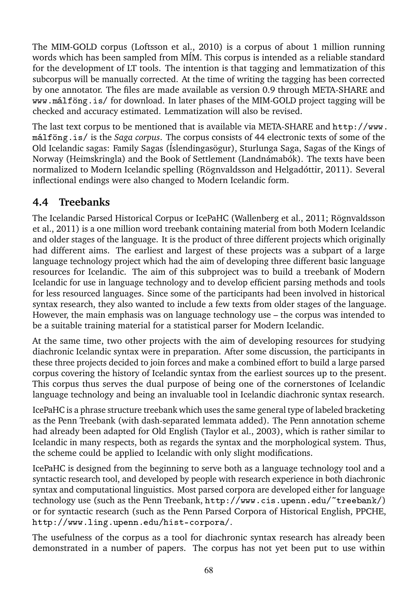The MIM-GOLD corpus (Loftsson et al., 2010) is a corpus of about 1 million running words which has been sampled from MÍM. This corpus is intended as a reliable standard for the development of LT tools. The intention is that tagging and lemmatization of this subcorpus will be manually corrected. At the time of writing the tagging has been corrected by one annotator. The files are made available as version 0.9 through META-SHARE and ✇✇✇✳♠á❧❢ö♥❣✳✐s✴ for download. In later phases of the MIM-GOLD project tagging will be checked and accuracy estimated. Lemmatization will also be revised.

The last text corpus to be mentioned that is available via META-SHARE and http://www. málföng. is/ is the *Saga corpus*. The corpus consists of 44 electronic texts of some of the Old Icelandic sagas: Family Sagas (Íslendingasögur), Sturlunga Saga, Sagas of the Kings of Norway (Heimskringla) and the Book of Settlement (Landnámabók). The texts have been normalized to Modern Icelandic spelling (Rögnvaldsson and Helgadóttir, 2011). Several inflectional endings were also changed to Modern Icelandic form.

#### **4.4 Treebanks**

The Icelandic Parsed Historical Corpus or IcePaHC (Wallenberg et al., 2011; Rögnvaldsson et al., 2011) is a one million word treebank containing material from both Modern Icelandic and older stages of the language. It is the product of three different projects which originally had different aims. The earliest and largest of these projects was a subpart of a large language technology project which had the aim of developing three different basic language resources for Icelandic. The aim of this subproject was to build a treebank of Modern Icelandic for use in language technology and to develop efficient parsing methods and tools for less resourced languages. Since some of the participants had been involved in historical syntax research, they also wanted to include a few texts from older stages of the language. However, the main emphasis was on language technology use – the corpus was intended to be a suitable training material for a statistical parser for Modern Icelandic.

At the same time, two other projects with the aim of developing resources for studying diachronic Icelandic syntax were in preparation. After some discussion, the participants in these three projects decided to join forces and make a combined effort to build a large parsed corpus covering the history of Icelandic syntax from the earliest sources up to the present. This corpus thus serves the dual purpose of being one of the cornerstones of Icelandic language technology and being an invaluable tool in Icelandic diachronic syntax research.

IcePaHC is a phrase structure treebank which uses the same general type of labeled bracketing as the Penn Treebank (with dash-separated lemmata added). The Penn annotation scheme had already been adapted for Old English (Taylor et al., 2003), which is rather similar to Icelandic in many respects, both as regards the syntax and the morphological system. Thus, the scheme could be applied to Icelandic with only slight modifications.

IcePaHC is designed from the beginning to serve both as a language technology tool and a syntactic research tool, and developed by people with research experience in both diachronic syntax and computational linguistics. Most parsed corpora are developed either for language technology use (such as the Penn Treebank, http://www.cis.upenn.edu/~treebank/) or for syntactic research (such as the Penn Parsed Corpora of Historical English, PPCHE, http://www.ling.upenn.edu/hist-corpora/.

The usefulness of the corpus as a tool for diachronic syntax research has already been demonstrated in a number of papers. The corpus has not yet been put to use within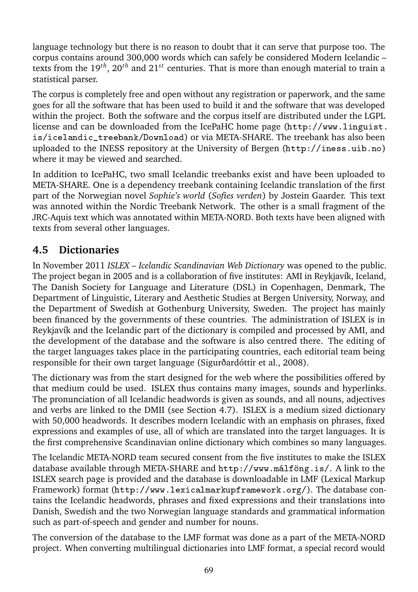language technology but there is no reason to doubt that it can serve that purpose too. The corpus contains around 300,000 words which can safely be considered Modern Icelandic – texts from the 19<sup>th</sup>, 20<sup>th</sup> and 21<sup>st</sup> centuries. That is more than enough material to train a statistical parser.

The corpus is completely free and open without any registration or paperwork, and the same goes for all the software that has been used to build it and the software that was developed within the project. Both the software and the corpus itself are distributed under the LGPL license and can be downloaded from the IcePaHC home page (http://www.linguist.  $is/i$ celandic\_treebank/Download) or via META-SHARE. The treebank has also been uploaded to the INESS repository at the University of Bergen (http://iness.uib.no) where it may be viewed and searched.

In addition to IcePaHC, two small Icelandic treebanks exist and have been uploaded to META-SHARE. One is a dependency treebank containing Icelandic translation of the first part of the Norwegian novel *Sophie's world* (*Sofies verden*) by Jostein Gaarder. This text was annoted within the Nordic Treebank Network. The other is a small fragment of the JRC-Aquis text which was annotated within META-NORD. Both texts have been aligned with texts from several other languages.

#### **4.5 Dictionaries**

In November 2011 *ISLEX – Icelandic Scandinavian Web Dictionary* was opened to the public. The project began in 2005 and is a collaboration of five institutes: AMI in Reykjavík, Iceland, The Danish Society for Language and Literature (DSL) in Copenhagen, Denmark, The Department of Linguistic, Literary and Aesthetic Studies at Bergen University, Norway, and the Department of Swedish at Gothenburg University, Sweden. The project has mainly been financed by the governments of these countries. The administration of ISLEX is in Reykjavík and the Icelandic part of the dictionary is compiled and processed by AMI, and the development of the database and the software is also centred there. The editing of the target languages takes place in the participating countries, each editorial team being responsible for their own target language (Sigurðardóttir et al., 2008).

The dictionary was from the start designed for the web where the possibilities offered by that medium could be used. ISLEX thus contains many images, sounds and hyperlinks. The pronunciation of all Icelandic headwords is given as sounds, and all nouns, adjectives and verbs are linked to the DMII (see Section 4.7). ISLEX is a medium sized dictionary with 50,000 headwords. It describes modern Icelandic with an emphasis on phrases, fixed expressions and examples of use, all of which are translated into the target languages. It is the first comprehensive Scandinavian online dictionary which combines so many languages.

The Icelandic META-NORD team secured consent from the five institutes to make the ISLEX database available through META-SHARE and http://www.málföng.is/. A link to the ISLEX search page is provided and the database is downloadable in LMF (Lexical Markup Framework) format (http://www.lexicalmarkupframework.org/). The database contains the Icelandic headwords, phrases and fixed expressions and their translations into Danish, Swedish and the two Norwegian language standards and grammatical information such as part-of-speech and gender and number for nouns.

The conversion of the database to the LMF format was done as a part of the META-NORD project. When converting multilingual dictionaries into LMF format, a special record would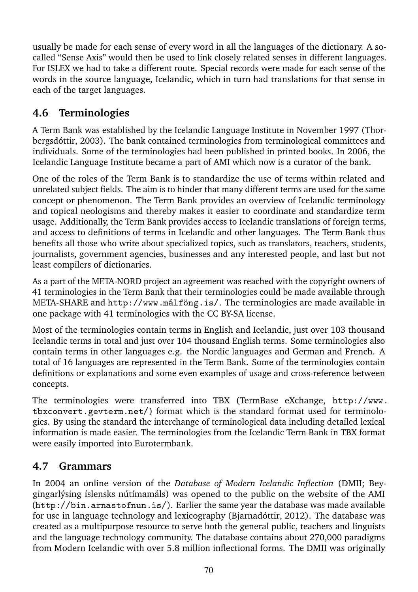usually be made for each sense of every word in all the languages of the dictionary. A socalled "Sense Axis" would then be used to link closely related senses in different languages. For ISLEX we had to take a different route. Special records were made for each sense of the words in the source language, Icelandic, which in turn had translations for that sense in each of the target languages.

# **4.6 Terminologies**

A Term Bank was established by the Icelandic Language Institute in November 1997 (Thorbergsdóttir, 2003). The bank contained terminologies from terminological committees and individuals. Some of the terminologies had been published in printed books. In 2006, the Icelandic Language Institute became a part of AMI which now is a curator of the bank.

One of the roles of the Term Bank is to standardize the use of terms within related and unrelated subject fields. The aim is to hinder that many different terms are used for the same concept or phenomenon. The Term Bank provides an overview of Icelandic terminology and topical neologisms and thereby makes it easier to coordinate and standardize term usage. Additionally, the Term Bank provides access to Icelandic translations of foreign terms, and access to definitions of terms in Icelandic and other languages. The Term Bank thus benefits all those who write about specialized topics, such as translators, teachers, students, journalists, government agencies, businesses and any interested people, and last but not least compilers of dictionaries.

As a part of the META-NORD project an agreement was reached with the copyright owners of 41 terminologies in the Term Bank that their terminologies could be made available through META-SHARE and http://www.málföng.is/. The terminologies are made available in one package with 41 terminologies with the CC BY-SA license.

Most of the terminologies contain terms in English and Icelandic, just over 103 thousand Icelandic terms in total and just over 104 thousand English terms. Some terminologies also contain terms in other languages e.g. the Nordic languages and German and French. A total of 16 languages are represented in the Term Bank. Some of the terminologies contain definitions or explanations and some even examples of usage and cross-reference between concepts.

The terminologies were transferred into TBX (TermBase eXchange, http://www. tbxconvert.gevterm.net/) format which is the standard format used for terminologies. By using the standard the interchange of terminological data including detailed lexical information is made easier. The terminologies from the Icelandic Term Bank in TBX format were easily imported into Eurotermbank.

# **4.7 Grammars**

In 2004 an online version of the *Database of Modern Icelandic Inflection* (DMII; Beygingarlýsing íslensks nútímamáls) was opened to the public on the website of the AMI  $(\text{http://bin.armastofnum.is/}).$  Earlier the same year the database was made available for use in language technology and lexicography (Bjarnadóttir, 2012). The database was created as a multipurpose resource to serve both the general public, teachers and linguists and the language technology community. The database contains about 270,000 paradigms from Modern Icelandic with over 5.8 million inflectional forms. The DMII was originally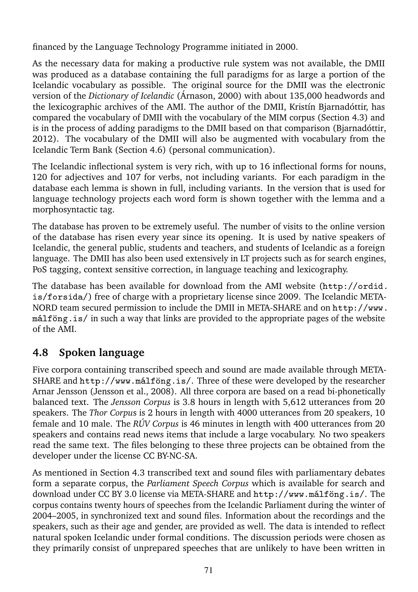financed by the Language Technology Programme initiated in 2000.

As the necessary data for making a productive rule system was not available, the DMII was produced as a database containing the full paradigms for as large a portion of the Icelandic vocabulary as possible. The original source for the DMII was the electronic version of the *Dictionary of Icelandic* (Árnason, 2000) with about 135,000 headwords and the lexicographic archives of the AMI. The author of the DMII, Kristín Bjarnadóttir, has compared the vocabulary of DMII with the vocabulary of the MIM corpus (Section 4.3) and is in the process of adding paradigms to the DMII based on that comparison (Bjarnadóttir, 2012). The vocabulary of the DMII will also be augmented with vocabulary from the Icelandic Term Bank (Section 4.6) (personal communication).

The Icelandic inflectional system is very rich, with up to 16 inflectional forms for nouns, 120 for adjectives and 107 for verbs, not including variants. For each paradigm in the database each lemma is shown in full, including variants. In the version that is used for language technology projects each word form is shown together with the lemma and a morphosyntactic tag.

The database has proven to be extremely useful. The number of visits to the online version of the database has risen every year since its opening. It is used by native speakers of Icelandic, the general public, students and teachers, and students of Icelandic as a foreign language. The DMII has also been used extensively in LT projects such as for search engines, PoS tagging, context sensitive correction, in language teaching and lexicography.

The database has been available for download from the AMI website (http://ordid. is/forsida/) free of charge with a proprietary license since 2009. The Icelandic META-NORD team secured permission to include the DMII in META-SHARE and on http://www. málföng is / in such a way that links are provided to the appropriate pages of the website of the AMI.

# **4.8 Spoken language**

Five corpora containing transcribed speech and sound are made available through META-SHARE and http://www.málföng.is/. Three of these were developed by the researcher Arnar Jensson (Jensson et al., 2008). All three corpora are based on a read bi-phonetically balanced text. The *Jensson Corpus* is 3.8 hours in length with 5,612 utterances from 20 speakers. The *Thor Corpu*s is 2 hours in length with 4000 utterances from 20 speakers, 10 female and 10 male. The *RÚV Corpus* is 46 minutes in length with 400 utterances from 20 speakers and contains read news items that include a large vocabulary. No two speakers read the same text. The files belonging to these three projects can be obtained from the developer under the license CC BY-NC-SA.

As mentioned in Section 4.3 transcribed text and sound files with parliamentary debates form a separate corpus, the *Parliament Speech Corpus* which is available for search and download under CC BY 3.0 license via META-SHARE and http://www.málföng.is/. The corpus contains twenty hours of speeches from the Icelandic Parliament during the winter of 2004–2005, in synchronized text and sound files. Information about the recordings and the speakers, such as their age and gender, are provided as well. The data is intended to reflect natural spoken Icelandic under formal conditions. The discussion periods were chosen as they primarily consist of unprepared speeches that are unlikely to have been written in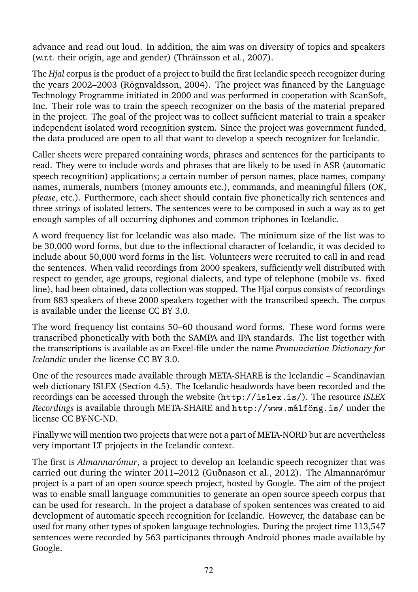advance and read out loud. In addition, the aim was on diversity of topics and speakers (w.r.t. their origin, age and gender) (Thráinsson et al., 2007).

The *Hjal* corpus is the product of a project to build the first Icelandic speech recognizer during the years 2002–2003 (Rögnvaldsson, 2004). The project was financed by the Language Technology Programme initiated in 2000 and was performed in cooperation with ScanSoft, Inc. Their role was to train the speech recognizer on the basis of the material prepared in the project. The goal of the project was to collect sufficient material to train a speaker independent isolated word recognition system. Since the project was government funded, the data produced are open to all that want to develop a speech recognizer for Icelandic.

Caller sheets were prepared containing words, phrases and sentences for the participants to read. They were to include words and phrases that are likely to be used in ASR (automatic speech recognition) applications; a certain number of person names, place names, company names, numerals, numbers (money amounts etc.), commands, and meaningful fillers (*OK*, *please*, etc.). Furthermore, each sheet should contain five phonetically rich sentences and three strings of isolated letters. The sentences were to be composed in such a way as to get enough samples of all occurring diphones and common triphones in Icelandic.

A word frequency list for Icelandic was also made. The minimum size of the list was to be 30,000 word forms, but due to the inflectional character of Icelandic, it was decided to include about 50,000 word forms in the list. Volunteers were recruited to call in and read the sentences. When valid recordings from 2000 speakers, sufficiently well distributed with respect to gender, age groups, regional dialects, and type of telephone (mobile vs. fixed line), had been obtained, data collection was stopped. The Hjal corpus consists of recordings from 883 speakers of these 2000 speakers together with the transcribed speech. The corpus is available under the license CC BY 3.0.

The word frequency list contains 50–60 thousand word forms. These word forms were transcribed phonetically with both the SAMPA and IPA standards. The list together with the transcriptions is available as an Excel-file under the name *Pronunciation Dictionary for Icelandic* under the license CC BY 3.0.

One of the resources made available through META-SHARE is the Icelandic – Scandinavian web dictionary ISLEX (Section 4.5). The Icelandic headwords have been recorded and the recordings can be accessed through the website (http://islex.is/). The resource *ISLEX Recordings* is available through META-SHARE and http://www.málföng.is/under the license CC BY-NC-ND.

Finally we will mention two projects that were not a part of META-NORD but are nevertheless very important LT prjojects in the Icelandic context.

The first is *Almannarómur*, a project to develop an Icelandic speech recognizer that was carried out during the winter 2011–2012 (Guðnason et al., 2012). The Almannarómur project is a part of an open source speech project, hosted by Google. The aim of the project was to enable small language communities to generate an open source speech corpus that can be used for research. In the project a database of spoken sentences was created to aid development of automatic speech recognition for Icelandic. However, the database can be used for many other types of spoken language technologies. During the project time 113,547 sentences were recorded by 563 participants through Android phones made available by Google.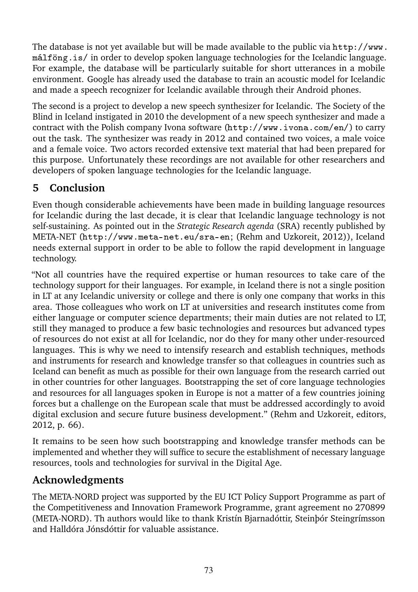The database is not yet available but will be made available to the public via  $http://www.$  $m\hat{a}$  is/ in order to develop spoken language technologies for the Icelandic language. For example, the database will be particularly suitable for short utterances in a mobile environment. Google has already used the database to train an acoustic model for Icelandic and made a speech recognizer for Icelandic available through their Android phones.

The second is a project to develop a new speech synthesizer for Icelandic. The Society of the Blind in Iceland instigated in 2010 the development of a new speech synthesizer and made a contract with the Polish company Ivona software (http://www.ivona.com/en/) to carry out the task. The synthesizer was ready in 2012 and contained two voices, a male voice and a female voice. Two actors recorded extensive text material that had been prepared for this purpose. Unfortunately these recordings are not available for other researchers and developers of spoken language technologies for the Icelandic language.

# **5 Conclusion**

Even though considerable achievements have been made in building language resources for Icelandic during the last decade, it is clear that Icelandic language technology is not self-sustaining. As pointed out in the *Strategic Research agenda* (SRA) recently published by META-NET (http://www.meta-net.eu/sra-en; (Rehm and Uzkoreit, 2012)), Iceland needs external support in order to be able to follow the rapid development in language technology.

"Not all countries have the required expertise or human resources to take care of the technology support for their languages. For example, in Iceland there is not a single position in LT at any Icelandic university or college and there is only one company that works in this area. Those colleagues who work on LT at universities and research institutes come from either language or computer science departments; their main duties are not related to LT, still they managed to produce a few basic technologies and resources but advanced types of resources do not exist at all for Icelandic, nor do they for many other under-resourced languages. This is why we need to intensify research and establish techniques, methods and instruments for research and knowledge transfer so that colleagues in countries such as Iceland can benefit as much as possible for their own language from the research carried out in other countries for other languages. Bootstrapping the set of core language technologies and resources for all languages spoken in Europe is not a matter of a few countries joining forces but a challenge on the European scale that must be addressed accordingly to avoid digital exclusion and secure future business development." (Rehm and Uzkoreit, editors, 2012, p. 66).

It remains to be seen how such bootstrapping and knowledge transfer methods can be implemented and whether they will suffice to secure the establishment of necessary language resources, tools and technologies for survival in the Digital Age.

# **Acknowledgments**

The META-NORD project was supported by the EU ICT Policy Support Programme as part of the Competitiveness and Innovation Framework Programme, grant agreement no 270899 (META-NORD). Th authors would like to thank Kristín Bjarnadóttir, Steinþór Steingrímsson and Halldóra Jónsdóttir for valuable assistance.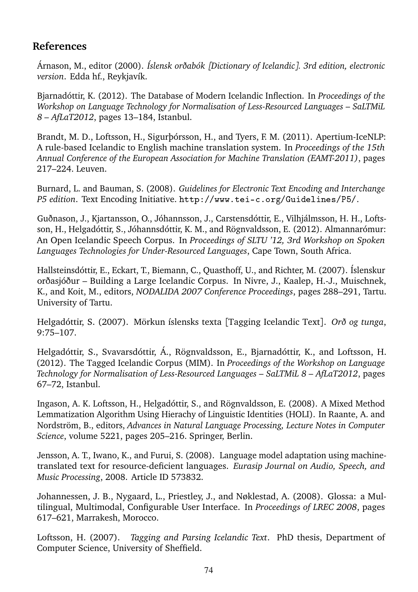#### **References**

Árnason, M., editor (2000). *Íslensk orðabók [Dictionary of Icelandic]. 3rd edition, electronic version*. Edda hf., Reykjavík.

Bjarnadóttir, K. (2012). The Database of Modern Icelandic Inflection. In *Proceedings of the Workshop on Language Technology for Normalisation of Less-Resourced Languages – SaLTMiL 8 – AfLaT2012*, pages 13–184, Istanbul.

Brandt, M. D., Loftsson, H., Sigurþórsson, H., and Tyers, F. M. (2011). Apertium-IceNLP: A rule-based Icelandic to English machine translation system. In *Proceedings of the 15th Annual Conference of the European Association for Machine Translation (EAMT-2011)*, pages 217–224. Leuven.

Burnard, L. and Bauman, S. (2008). *Guidelines for Electronic Text Encoding and Interchange P5 edition*. Text Encoding Initiative. http://www.tei-c.org/Guidelines/P5/.

Guðnason, J., Kjartansson, O., Jóhannsson, J., Carstensdóttir, E., Vilhjálmsson, H. H., Loftsson, H., Helgadóttir, S., Jóhannsdóttir, K. M., and Rögnvaldsson, E. (2012). Almannarómur: An Open Icelandic Speech Corpus. In *Proceedings of SLTU '12, 3rd Workshop on Spoken Languages Technologies for Under-Resourced Languages*, Cape Town, South Africa.

Hallsteinsdóttir, E., Eckart, T., Biemann, C., Quasthoff, U., and Richter, M. (2007). Íslenskur orðasjóður – Building a Large Icelandic Corpus. In Nivre, J., Kaalep, H.-J., Muischnek, K., and Koit, M., editors, *NODALIDA 2007 Conference Proceedings*, pages 288–291, Tartu. University of Tartu.

Helgadóttir, S. (2007). Mörkun íslensks texta [Tagging Icelandic Text]. *Orð og tunga*, 9:75–107.

Helgadóttir, S., Svavarsdóttir, Á., Rögnvaldsson, E., Bjarnadóttir, K., and Loftsson, H. (2012). The Tagged Icelandic Corpus (MIM). In *Proceedings of the Workshop on Language Technology for Normalisation of Less-Resourced Languages – SaLTMiL 8 – AfLaT2012*, pages 67–72, Istanbul.

Ingason, A. K. Loftsson, H., Helgadóttir, S., and Rögnvaldsson, E. (2008). A Mixed Method Lemmatization Algorithm Using Hierachy of Linguistic Identities (HOLI). In Raante, A. and Nordström, B., editors, *Advances in Natural Language Processing, Lecture Notes in Computer Science*, volume 5221, pages 205–216. Springer, Berlin.

Jensson, A. T., Iwano, K., and Furui, S. (2008). Language model adaptation using machinetranslated text for resource-deficient languages. *Eurasip Journal on Audio, Speech, and Music Processing*, 2008. Article ID 573832.

Johannessen, J. B., Nygaard, L., Priestley, J., and Nøklestad, A. (2008). Glossa: a Multilingual, Multimodal, Configurable User Interface. In *Proceedings of LREC 2008*, pages 617–621, Marrakesh, Morocco.

Loftsson, H. (2007). *Tagging and Parsing Icelandic Text*. PhD thesis, Department of Computer Science, University of Sheffield.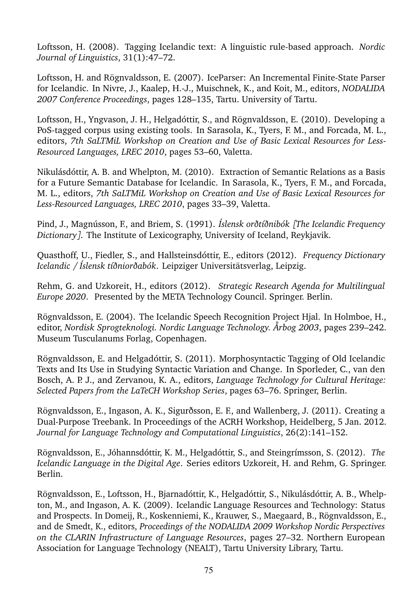Loftsson, H. (2008). Tagging Icelandic text: A linguistic rule-based approach. *Nordic Journal of Linguistics*, 31(1):47–72.

Loftsson, H. and Rögnvaldsson, E. (2007). IceParser: An Incremental Finite-State Parser for Icelandic. In Nivre, J., Kaalep, H.-J., Muischnek, K., and Koit, M., editors, *NODALIDA 2007 Conference Proceedings*, pages 128–135, Tartu. University of Tartu.

Loftsson, H., Yngvason, J. H., Helgadóttir, S., and Rögnvaldsson, E. (2010). Developing a PoS-tagged corpus using existing tools. In Sarasola, K., Tyers, F. M., and Forcada, M. L., editors, *7th SaLTMiL Workshop on Creation and Use of Basic Lexical Resources for Less-Resourced Languages, LREC 2010*, pages 53–60, Valetta.

Nikulásdóttir, A. B. and Whelpton, M. (2010). Extraction of Semantic Relations as a Basis for a Future Semantic Database for Icelandic. In Sarasola, K., Tyers, F. M., and Forcada, M. L., editors, *7th SaLTMiL Workshop on Creation and Use of Basic Lexical Resources for Less-Resourced Languages, LREC 2010*, pages 33–39, Valetta.

Pind, J., Magnússon, F., and Briem, S. (1991). *Íslensk orðtíðnibók [The Icelandic Frequency Dictionary]*. The Institute of Lexicography, University of Iceland, Reykjavik.

Quasthoff, U., Fiedler, S., and Hallsteinsdóttir, E., editors (2012). *Frequency Dictionary Icelandic / Íslensk tíðniorðabók*. Leipziger Universitätsverlag, Leipzig.

Rehm, G. and Uzkoreit, H., editors (2012). *Strategic Research Agenda for Multilingual Europe 2020*. Presented by the META Technology Council. Springer. Berlin.

Rögnvaldsson, E. (2004). The Icelandic Speech Recognition Project Hjal. In Holmboe, H., editor, *Nordisk Sprogteknologi. Nordic Language Technology. Årbog 2003*, pages 239–242. Museum Tusculanums Forlag, Copenhagen.

Rögnvaldsson, E. and Helgadóttir, S. (2011). Morphosyntactic Tagging of Old Icelandic Texts and Its Use in Studying Syntactic Variation and Change. In Sporleder, C., van den Bosch, A. P. J., and Zervanou, K. A., editors, *Language Technology for Cultural Heritage: Selected Papers from the LaTeCH Workshop Series*, pages 63–76. Springer, Berlin.

Rögnvaldsson, E., Ingason, A. K., Sigurðsson, E. F., and Wallenberg, J. (2011). Creating a Dual-Purpose Treebank. In Proceedings of the ACRH Workshop, Heidelberg, 5 Jan. 2012. *Journal for Language Technology and Computational Linguistics*, 26(2):141–152.

Rögnvaldsson, E., Jóhannsdóttir, K. M., Helgadóttir, S., and Steingrímsson, S. (2012). *The Icelandic Language in the Digital Age*. Series editors Uzkoreit, H. and Rehm, G. Springer. Berlin.

Rögnvaldsson, E., Loftsson, H., Bjarnadóttir, K., Helgadóttir, S., Nikulásdóttir, A. B., Whelpton, M., and Ingason, A. K. (2009). Icelandic Language Resources and Technology: Status and Prospects. In Domeij, R., Koskenniemi, K., Krauwer, S., Maegaard, B., Rögnvaldsson, E., and de Smedt, K., editors, *Proceedings of the NODALIDA 2009 Workshop Nordic Perspectives on the CLARIN Infrastructure of Language Resources*, pages 27–32. Northern European Association for Language Technology (NEALT), Tartu University Library, Tartu.